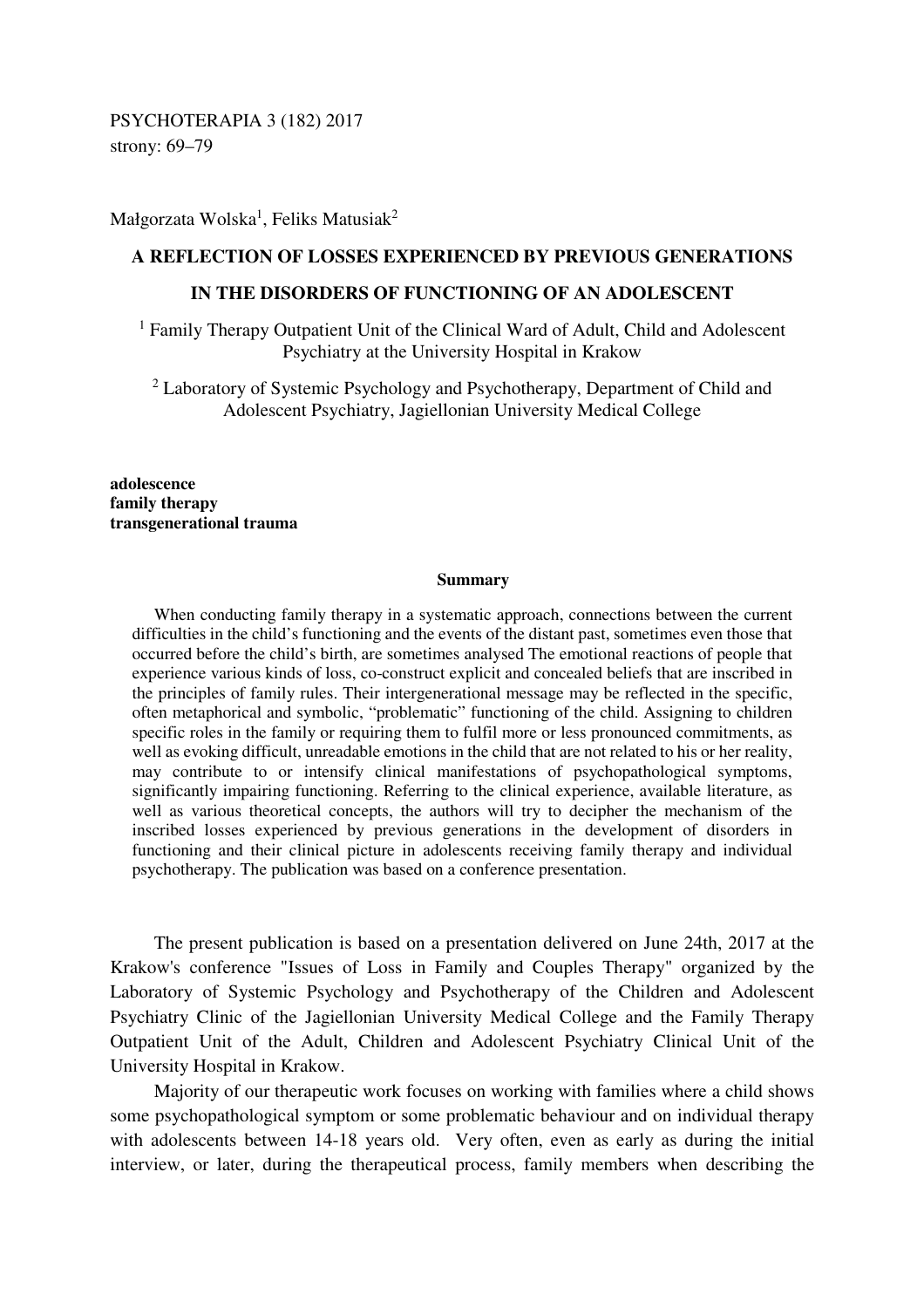PSYCHOTERAPIA 3 (182) 2017 strony: 69–79

Małgorzata Wolska $^1$ , Feliks Matusiak $^2$ 

### **A REFLECTION OF LOSSES EXPERIENCED BY PREVIOUS GENERATIONS**

# **IN THE DISORDERS OF FUNCTIONING OF AN ADOLESCENT**

<sup>1</sup> Family Therapy Outpatient Unit of the Clinical Ward of Adult, Child and Adolescent Psychiatry at the University Hospital in Krakow

<sup>2</sup> Laboratory of Systemic Psychology and Psychotherapy, Department of Child and Adolescent Psychiatry, Jagiellonian University Medical College

**adolescence family therapy transgenerational trauma** 

#### **Summary**

When conducting family therapy in a systematic approach, connections between the current difficulties in the child's functioning and the events of the distant past, sometimes even those that occurred before the child's birth, are sometimes analysed The emotional reactions of people that experience various kinds of loss, co-construct explicit and concealed beliefs that are inscribed in the principles of family rules. Their intergenerational message may be reflected in the specific, often metaphorical and symbolic, "problematic" functioning of the child. Assigning to children specific roles in the family or requiring them to fulfil more or less pronounced commitments, as well as evoking difficult, unreadable emotions in the child that are not related to his or her reality, may contribute to or intensify clinical manifestations of psychopathological symptoms, significantly impairing functioning. Referring to the clinical experience, available literature, as well as various theoretical concepts, the authors will try to decipher the mechanism of the inscribed losses experienced by previous generations in the development of disorders in functioning and their clinical picture in adolescents receiving family therapy and individual psychotherapy. The publication was based on a conference presentation.

The present publication is based on a presentation delivered on June 24th, 2017 at the Krakow's conference "Issues of Loss in Family and Couples Therapy" organized by the Laboratory of Systemic Psychology and Psychotherapy of the Children and Adolescent Psychiatry Clinic of the Jagiellonian University Medical College and the Family Therapy Outpatient Unit of the Adult, Children and Adolescent Psychiatry Clinical Unit of the University Hospital in Krakow.

Majority of our therapeutic work focuses on working with families where a child shows some psychopathological symptom or some problematic behaviour and on individual therapy with adolescents between 14-18 years old. Very often, even as early as during the initial interview, or later, during the therapeutical process, family members when describing the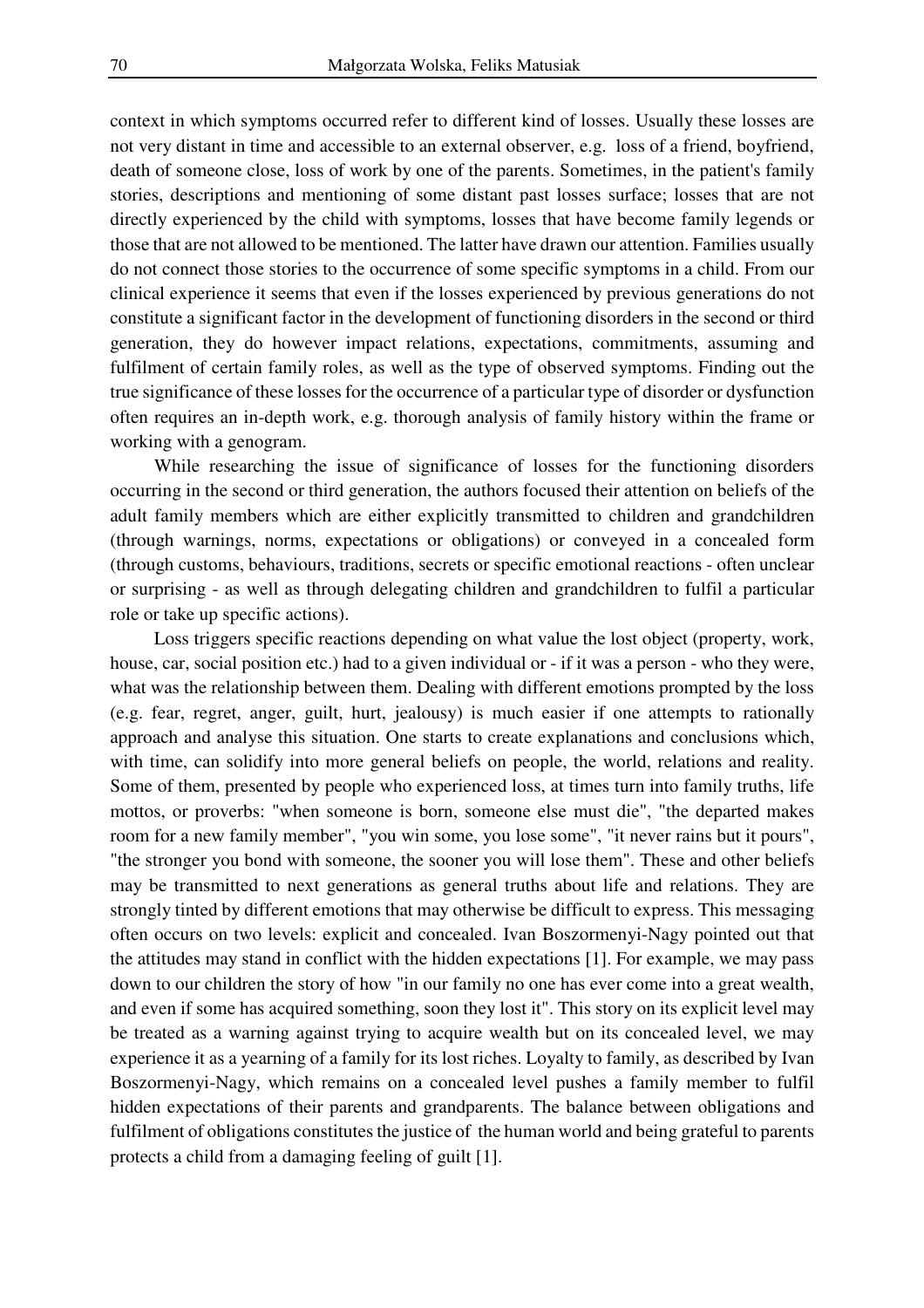context in which symptoms occurred refer to different kind of losses. Usually these losses are not very distant in time and accessible to an external observer, e.g. loss of a friend, boyfriend, death of someone close, loss of work by one of the parents. Sometimes, in the patient's family stories, descriptions and mentioning of some distant past losses surface; losses that are not directly experienced by the child with symptoms, losses that have become family legends or those that are not allowed to be mentioned. The latter have drawn our attention. Families usually do not connect those stories to the occurrence of some specific symptoms in a child. From our clinical experience it seems that even if the losses experienced by previous generations do not constitute a significant factor in the development of functioning disorders in the second or third generation, they do however impact relations, expectations, commitments, assuming and fulfilment of certain family roles, as well as the type of observed symptoms. Finding out the true significance of these losses for the occurrence of a particular type of disorder or dysfunction often requires an in-depth work, e.g. thorough analysis of family history within the frame or working with a genogram.

While researching the issue of significance of losses for the functioning disorders occurring in the second or third generation, the authors focused their attention on beliefs of the adult family members which are either explicitly transmitted to children and grandchildren (through warnings, norms, expectations or obligations) or conveyed in a concealed form (through customs, behaviours, traditions, secrets or specific emotional reactions - often unclear or surprising - as well as through delegating children and grandchildren to fulfil a particular role or take up specific actions).

Loss triggers specific reactions depending on what value the lost object (property, work, house, car, social position etc.) had to a given individual or - if it was a person - who they were, what was the relationship between them. Dealing with different emotions prompted by the loss (e.g. fear, regret, anger, guilt, hurt, jealousy) is much easier if one attempts to rationally approach and analyse this situation. One starts to create explanations and conclusions which, with time, can solidify into more general beliefs on people, the world, relations and reality. Some of them, presented by people who experienced loss, at times turn into family truths, life mottos, or proverbs: "when someone is born, someone else must die", "the departed makes room for a new family member", "you win some, you lose some", "it never rains but it pours", "the stronger you bond with someone, the sooner you will lose them". These and other beliefs may be transmitted to next generations as general truths about life and relations. They are strongly tinted by different emotions that may otherwise be difficult to express. This messaging often occurs on two levels: explicit and concealed. Ivan Boszormenyi-Nagy pointed out that the attitudes may stand in conflict with the hidden expectations [1]. For example, we may pass down to our children the story of how "in our family no one has ever come into a great wealth, and even if some has acquired something, soon they lost it". This story on its explicit level may be treated as a warning against trying to acquire wealth but on its concealed level, we may experience it as a yearning of a family for its lost riches. Loyalty to family, as described by Ivan Boszormenyi-Nagy, which remains on a concealed level pushes a family member to fulfil hidden expectations of their parents and grandparents. The balance between obligations and fulfilment of obligations constitutes the justice of the human world and being grateful to parents protects a child from a damaging feeling of guilt [1].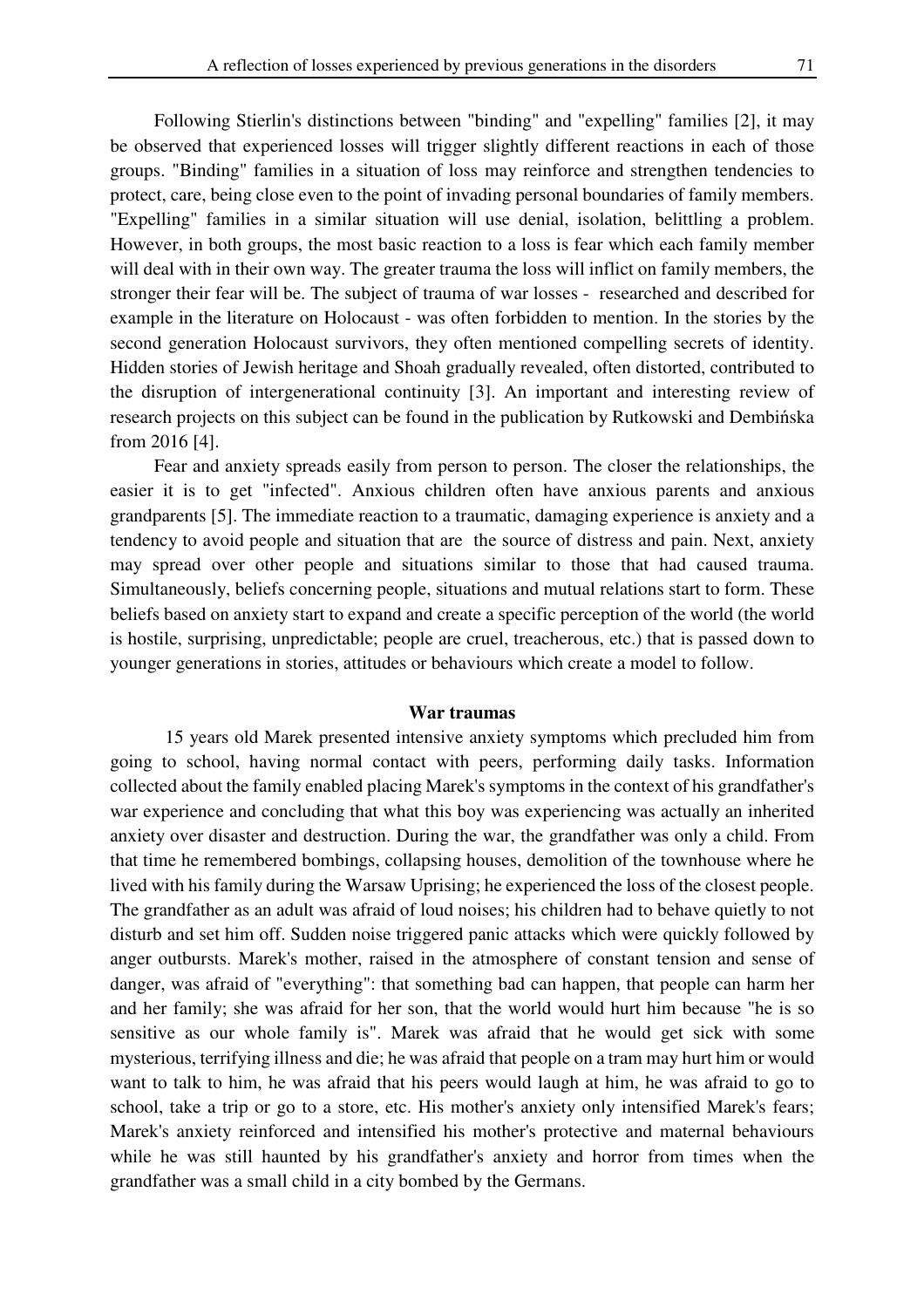Following Stierlin's distinctions between "binding" and "expelling" families [2], it may be observed that experienced losses will trigger slightly different reactions in each of those groups. "Binding" families in a situation of loss may reinforce and strengthen tendencies to protect, care, being close even to the point of invading personal boundaries of family members. "Expelling" families in a similar situation will use denial, isolation, belittling a problem. However, in both groups, the most basic reaction to a loss is fear which each family member will deal with in their own way. The greater trauma the loss will inflict on family members, the stronger their fear will be. The subject of trauma of war losses - researched and described for example in the literature on Holocaust - was often forbidden to mention. In the stories by the second generation Holocaust survivors, they often mentioned compelling secrets of identity. Hidden stories of Jewish heritage and Shoah gradually revealed, often distorted, contributed to the disruption of intergenerational continuity [3]. An important and interesting review of research projects on this subject can be found in the publication by Rutkowski and Dembińska from 2016 [4].

Fear and anxiety spreads easily from person to person. The closer the relationships, the easier it is to get "infected". Anxious children often have anxious parents and anxious grandparents [5]. The immediate reaction to a traumatic, damaging experience is anxiety and a tendency to avoid people and situation that are the source of distress and pain. Next, anxiety may spread over other people and situations similar to those that had caused trauma. Simultaneously, beliefs concerning people, situations and mutual relations start to form. These beliefs based on anxiety start to expand and create a specific perception of the world (the world is hostile, surprising, unpredictable; people are cruel, treacherous, etc.) that is passed down to younger generations in stories, attitudes or behaviours which create a model to follow.

### **War traumas**

15 years old Marek presented intensive anxiety symptoms which precluded him from going to school, having normal contact with peers, performing daily tasks. Information collected about the family enabled placing Marek's symptoms in the context of his grandfather's war experience and concluding that what this boy was experiencing was actually an inherited anxiety over disaster and destruction. During the war, the grandfather was only a child. From that time he remembered bombings, collapsing houses, demolition of the townhouse where he lived with his family during the Warsaw Uprising; he experienced the loss of the closest people. The grandfather as an adult was afraid of loud noises; his children had to behave quietly to not disturb and set him off. Sudden noise triggered panic attacks which were quickly followed by anger outbursts. Marek's mother, raised in the atmosphere of constant tension and sense of danger, was afraid of "everything": that something bad can happen, that people can harm her and her family; she was afraid for her son, that the world would hurt him because "he is so sensitive as our whole family is". Marek was afraid that he would get sick with some mysterious, terrifying illness and die; he was afraid that people on a tram may hurt him or would want to talk to him, he was afraid that his peers would laugh at him, he was afraid to go to school, take a trip or go to a store, etc. His mother's anxiety only intensified Marek's fears; Marek's anxiety reinforced and intensified his mother's protective and maternal behaviours while he was still haunted by his grandfather's anxiety and horror from times when the grandfather was a small child in a city bombed by the Germans.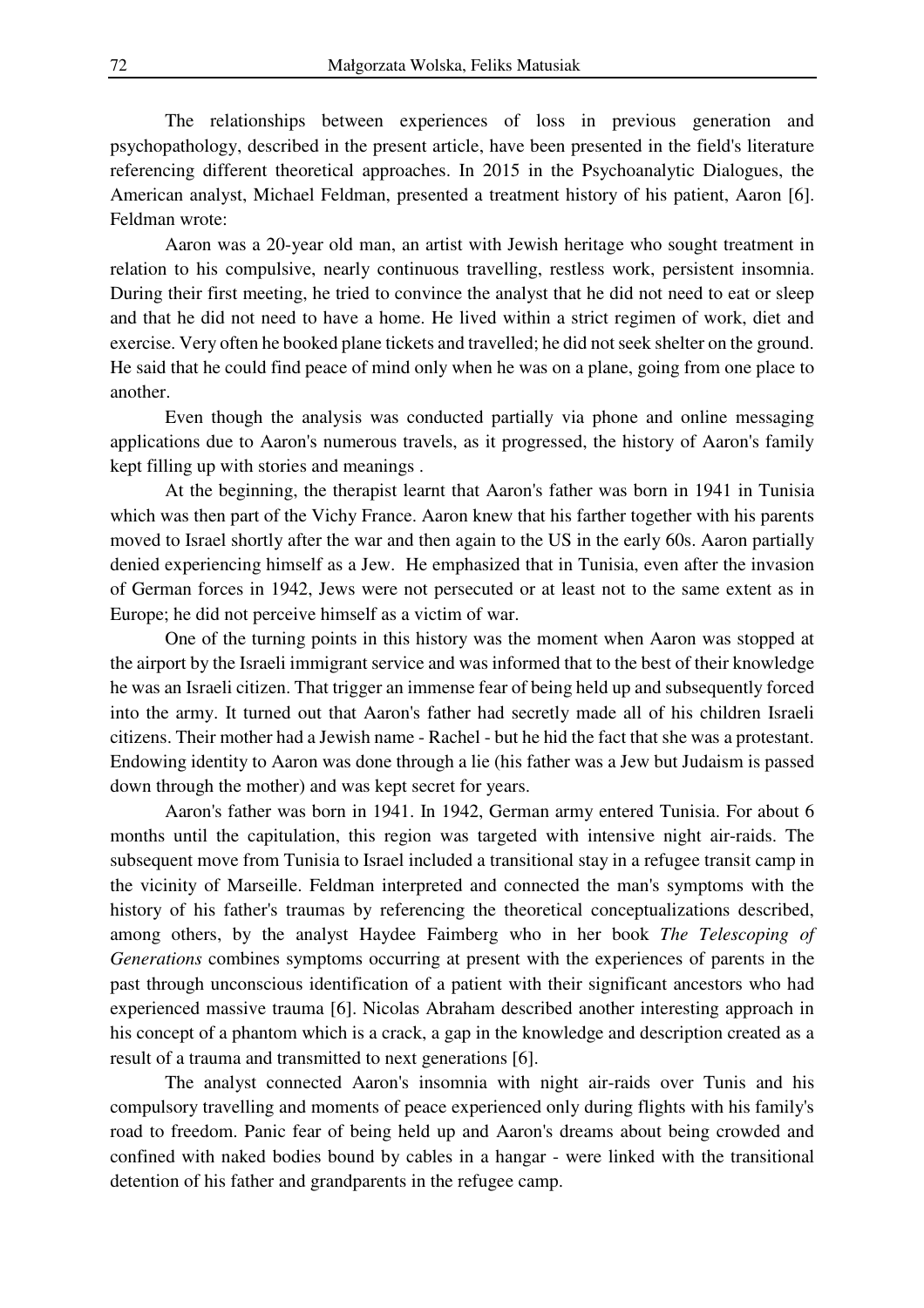The relationships between experiences of loss in previous generation and psychopathology, described in the present article, have been presented in the field's literature referencing different theoretical approaches. In 2015 in the Psychoanalytic Dialogues, the American analyst, Michael Feldman, presented a treatment history of his patient, Aaron [6]. Feldman wrote:

Aaron was a 20-year old man, an artist with Jewish heritage who sought treatment in relation to his compulsive, nearly continuous travelling, restless work, persistent insomnia. During their first meeting, he tried to convince the analyst that he did not need to eat or sleep and that he did not need to have a home. He lived within a strict regimen of work, diet and exercise. Very often he booked plane tickets and travelled; he did not seek shelter on the ground. He said that he could find peace of mind only when he was on a plane, going from one place to another.

Even though the analysis was conducted partially via phone and online messaging applications due to Aaron's numerous travels, as it progressed, the history of Aaron's family kept filling up with stories and meanings .

At the beginning, the therapist learnt that Aaron's father was born in 1941 in Tunisia which was then part of the Vichy France. Aaron knew that his farther together with his parents moved to Israel shortly after the war and then again to the US in the early 60s. Aaron partially denied experiencing himself as a Jew. He emphasized that in Tunisia, even after the invasion of German forces in 1942, Jews were not persecuted or at least not to the same extent as in Europe; he did not perceive himself as a victim of war.

One of the turning points in this history was the moment when Aaron was stopped at the airport by the Israeli immigrant service and was informed that to the best of their knowledge he was an Israeli citizen. That trigger an immense fear of being held up and subsequently forced into the army. It turned out that Aaron's father had secretly made all of his children Israeli citizens. Their mother had a Jewish name - Rachel - but he hid the fact that she was a protestant. Endowing identity to Aaron was done through a lie (his father was a Jew but Judaism is passed down through the mother) and was kept secret for years.

Aaron's father was born in 1941. In 1942, German army entered Tunisia. For about 6 months until the capitulation, this region was targeted with intensive night air-raids. The subsequent move from Tunisia to Israel included a transitional stay in a refugee transit camp in the vicinity of Marseille. Feldman interpreted and connected the man's symptoms with the history of his father's traumas by referencing the theoretical conceptualizations described, among others, by the analyst Haydee Faimberg who in her book *The Telescoping of Generations* combines symptoms occurring at present with the experiences of parents in the past through unconscious identification of a patient with their significant ancestors who had experienced massive trauma [6]. Nicolas Abraham described another interesting approach in his concept of a phantom which is a crack, a gap in the knowledge and description created as a result of a trauma and transmitted to next generations [6].

The analyst connected Aaron's insomnia with night air-raids over Tunis and his compulsory travelling and moments of peace experienced only during flights with his family's road to freedom. Panic fear of being held up and Aaron's dreams about being crowded and confined with naked bodies bound by cables in a hangar - were linked with the transitional detention of his father and grandparents in the refugee camp.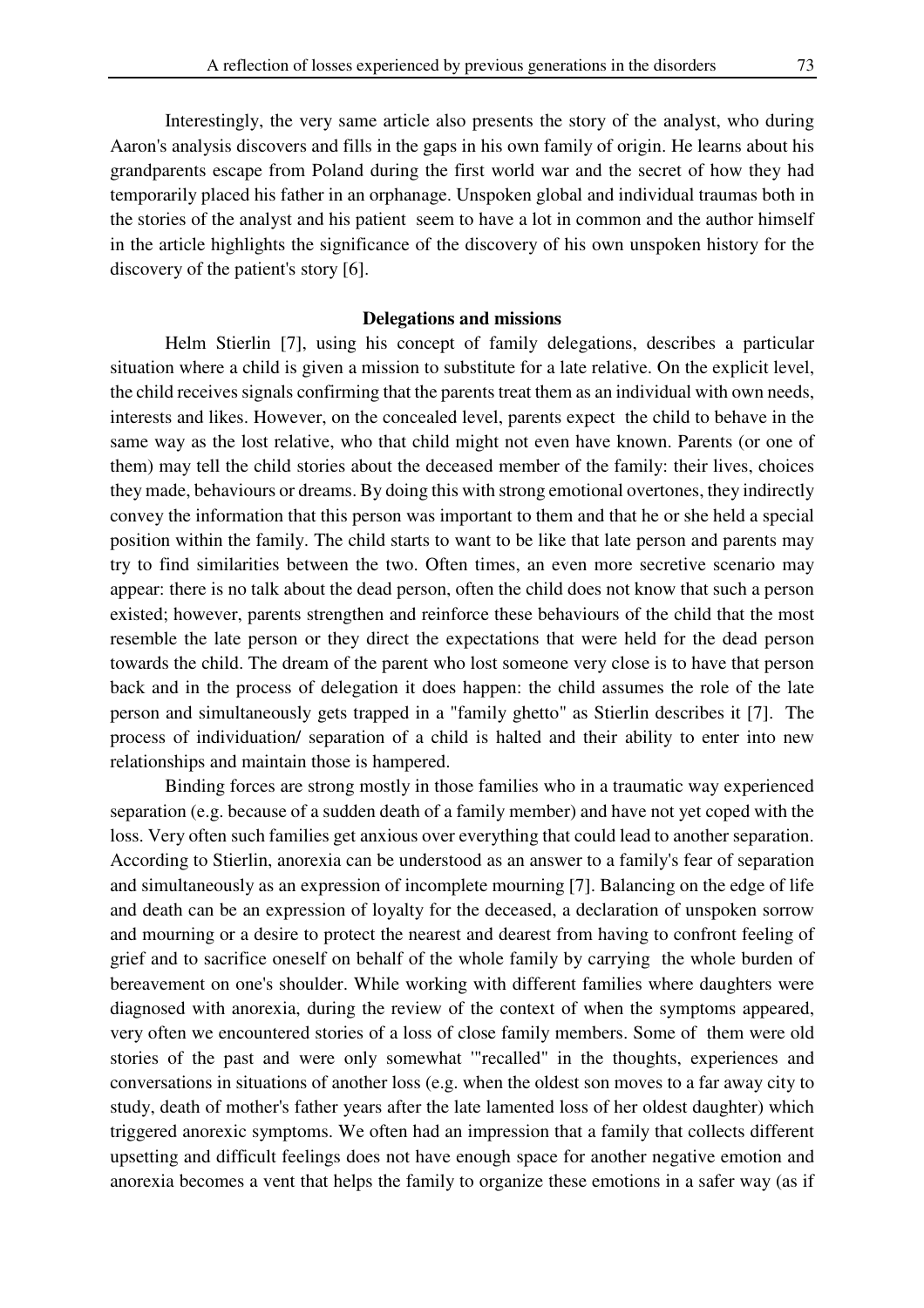Interestingly, the very same article also presents the story of the analyst, who during Aaron's analysis discovers and fills in the gaps in his own family of origin. He learns about his grandparents escape from Poland during the first world war and the secret of how they had temporarily placed his father in an orphanage. Unspoken global and individual traumas both in the stories of the analyst and his patient seem to have a lot in common and the author himself in the article highlights the significance of the discovery of his own unspoken history for the discovery of the patient's story [6].

### **Delegations and missions**

Helm Stierlin [7], using his concept of family delegations, describes a particular situation where a child is given a mission to substitute for a late relative. On the explicit level, the child receives signals confirming that the parents treat them as an individual with own needs, interests and likes. However, on the concealed level, parents expect the child to behave in the same way as the lost relative, who that child might not even have known. Parents (or one of them) may tell the child stories about the deceased member of the family: their lives, choices they made, behaviours or dreams. By doing this with strong emotional overtones, they indirectly convey the information that this person was important to them and that he or she held a special position within the family. The child starts to want to be like that late person and parents may try to find similarities between the two. Often times, an even more secretive scenario may appear: there is no talk about the dead person, often the child does not know that such a person existed; however, parents strengthen and reinforce these behaviours of the child that the most resemble the late person or they direct the expectations that were held for the dead person towards the child. The dream of the parent who lost someone very close is to have that person back and in the process of delegation it does happen: the child assumes the role of the late person and simultaneously gets trapped in a "family ghetto" as Stierlin describes it [7]. The process of individuation/ separation of a child is halted and their ability to enter into new relationships and maintain those is hampered.

Binding forces are strong mostly in those families who in a traumatic way experienced separation (e.g. because of a sudden death of a family member) and have not yet coped with the loss. Very often such families get anxious over everything that could lead to another separation. According to Stierlin, anorexia can be understood as an answer to a family's fear of separation and simultaneously as an expression of incomplete mourning [7]. Balancing on the edge of life and death can be an expression of loyalty for the deceased, a declaration of unspoken sorrow and mourning or a desire to protect the nearest and dearest from having to confront feeling of grief and to sacrifice oneself on behalf of the whole family by carrying the whole burden of bereavement on one's shoulder. While working with different families where daughters were diagnosed with anorexia, during the review of the context of when the symptoms appeared, very often we encountered stories of a loss of close family members. Some of them were old stories of the past and were only somewhat '"recalled" in the thoughts, experiences and conversations in situations of another loss (e.g. when the oldest son moves to a far away city to study, death of mother's father years after the late lamented loss of her oldest daughter) which triggered anorexic symptoms. We often had an impression that a family that collects different upsetting and difficult feelings does not have enough space for another negative emotion and anorexia becomes a vent that helps the family to organize these emotions in a safer way (as if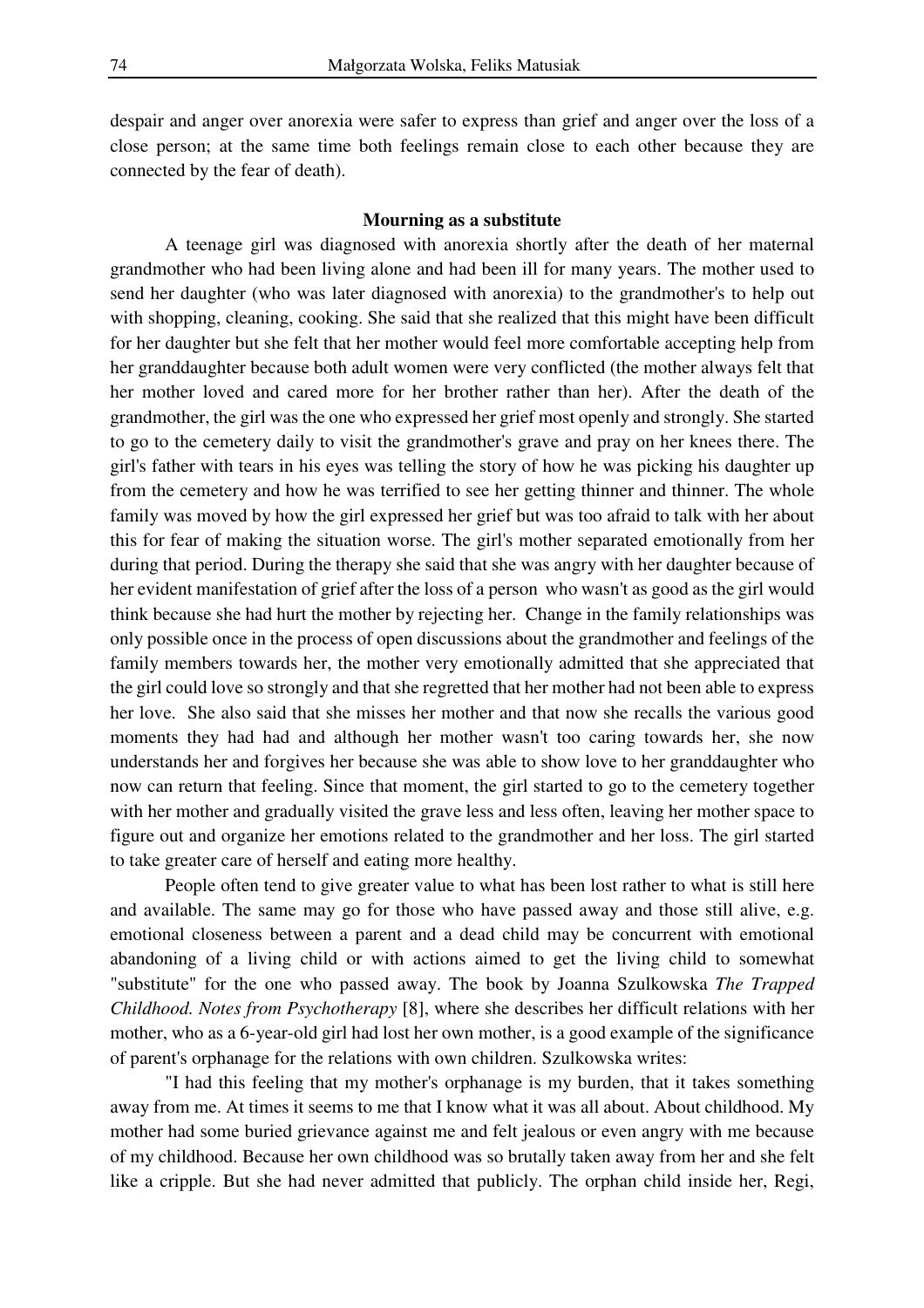despair and anger over anorexia were safer to express than grief and anger over the loss of a close person; at the same time both feelings remain close to each other because they are connected by the fear of death).

### **Mourning as a substitute**

A teenage girl was diagnosed with anorexia shortly after the death of her maternal grandmother who had been living alone and had been ill for many years. The mother used to send her daughter (who was later diagnosed with anorexia) to the grandmother's to help out with shopping, cleaning, cooking. She said that she realized that this might have been difficult for her daughter but she felt that her mother would feel more comfortable accepting help from her granddaughter because both adult women were very conflicted (the mother always felt that her mother loved and cared more for her brother rather than her). After the death of the grandmother, the girl was the one who expressed her grief most openly and strongly. She started to go to the cemetery daily to visit the grandmother's grave and pray on her knees there. The girl's father with tears in his eyes was telling the story of how he was picking his daughter up from the cemetery and how he was terrified to see her getting thinner and thinner. The whole family was moved by how the girl expressed her grief but was too afraid to talk with her about this for fear of making the situation worse. The girl's mother separated emotionally from her during that period. During the therapy she said that she was angry with her daughter because of her evident manifestation of grief after the loss of a person who wasn't as good as the girl would think because she had hurt the mother by rejecting her. Change in the family relationships was only possible once in the process of open discussions about the grandmother and feelings of the family members towards her, the mother very emotionally admitted that she appreciated that the girl could love so strongly and that she regretted that her mother had not been able to express her love. She also said that she misses her mother and that now she recalls the various good moments they had had and although her mother wasn't too caring towards her, she now understands her and forgives her because she was able to show love to her granddaughter who now can return that feeling. Since that moment, the girl started to go to the cemetery together with her mother and gradually visited the grave less and less often, leaving her mother space to figure out and organize her emotions related to the grandmother and her loss. The girl started to take greater care of herself and eating more healthy.

People often tend to give greater value to what has been lost rather to what is still here and available. The same may go for those who have passed away and those still alive, e.g. emotional closeness between a parent and a dead child may be concurrent with emotional abandoning of a living child or with actions aimed to get the living child to somewhat "substitute" for the one who passed away. The book by Joanna Szulkowska *The Trapped Childhood. Notes from Psychotherapy* [8], where she describes her difficult relations with her mother, who as a 6-year-old girl had lost her own mother, is a good example of the significance of parent's orphanage for the relations with own children. Szulkowska writes:

"I had this feeling that my mother's orphanage is my burden, that it takes something away from me. At times it seems to me that I know what it was all about. About childhood. My mother had some buried grievance against me and felt jealous or even angry with me because of my childhood. Because her own childhood was so brutally taken away from her and she felt like a cripple. But she had never admitted that publicly. The orphan child inside her, Regi,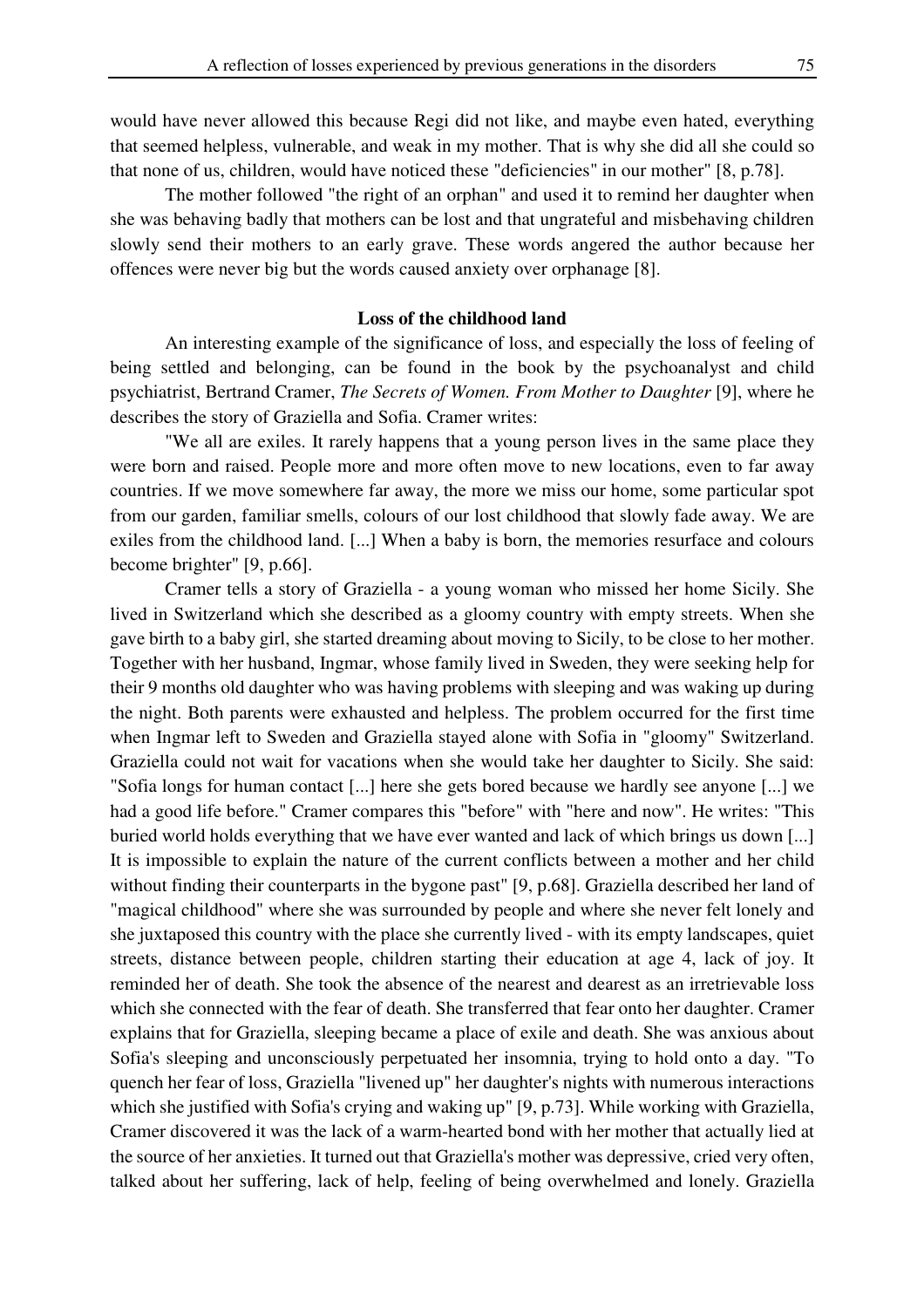would have never allowed this because Regi did not like, and maybe even hated, everything that seemed helpless, vulnerable, and weak in my mother. That is why she did all she could so that none of us, children, would have noticed these "deficiencies" in our mother" [8, p.78].

The mother followed "the right of an orphan" and used it to remind her daughter when she was behaving badly that mothers can be lost and that ungrateful and misbehaving children slowly send their mothers to an early grave. These words angered the author because her offences were never big but the words caused anxiety over orphanage [8].

### **Loss of the childhood land**

An interesting example of the significance of loss, and especially the loss of feeling of being settled and belonging, can be found in the book by the psychoanalyst and child psychiatrist, Bertrand Cramer, *The Secrets of Women. From Mother to Daughter* [9], where he describes the story of Graziella and Sofia. Cramer writes:

"We all are exiles. It rarely happens that a young person lives in the same place they were born and raised. People more and more often move to new locations, even to far away countries. If we move somewhere far away, the more we miss our home, some particular spot from our garden, familiar smells, colours of our lost childhood that slowly fade away. We are exiles from the childhood land. [...] When a baby is born, the memories resurface and colours become brighter" [9, p.66].

Cramer tells a story of Graziella - a young woman who missed her home Sicily. She lived in Switzerland which she described as a gloomy country with empty streets. When she gave birth to a baby girl, she started dreaming about moving to Sicily, to be close to her mother. Together with her husband, Ingmar, whose family lived in Sweden, they were seeking help for their 9 months old daughter who was having problems with sleeping and was waking up during the night. Both parents were exhausted and helpless. The problem occurred for the first time when Ingmar left to Sweden and Graziella stayed alone with Sofia in "gloomy" Switzerland. Graziella could not wait for vacations when she would take her daughter to Sicily. She said: "Sofia longs for human contact [...] here she gets bored because we hardly see anyone [...] we had a good life before." Cramer compares this "before" with "here and now". He writes: "This buried world holds everything that we have ever wanted and lack of which brings us down [...] It is impossible to explain the nature of the current conflicts between a mother and her child without finding their counterparts in the bygone past" [9, p.68]. Graziella described her land of "magical childhood" where she was surrounded by people and where she never felt lonely and she juxtaposed this country with the place she currently lived - with its empty landscapes, quiet streets, distance between people, children starting their education at age 4, lack of joy. It reminded her of death. She took the absence of the nearest and dearest as an irretrievable loss which she connected with the fear of death. She transferred that fear onto her daughter. Cramer explains that for Graziella, sleeping became a place of exile and death. She was anxious about Sofia's sleeping and unconsciously perpetuated her insomnia, trying to hold onto a day. "To quench her fear of loss, Graziella "livened up" her daughter's nights with numerous interactions which she justified with Sofia's crying and waking up" [9, p.73]. While working with Graziella, Cramer discovered it was the lack of a warm-hearted bond with her mother that actually lied at the source of her anxieties. It turned out that Graziella's mother was depressive, cried very often, talked about her suffering, lack of help, feeling of being overwhelmed and lonely. Graziella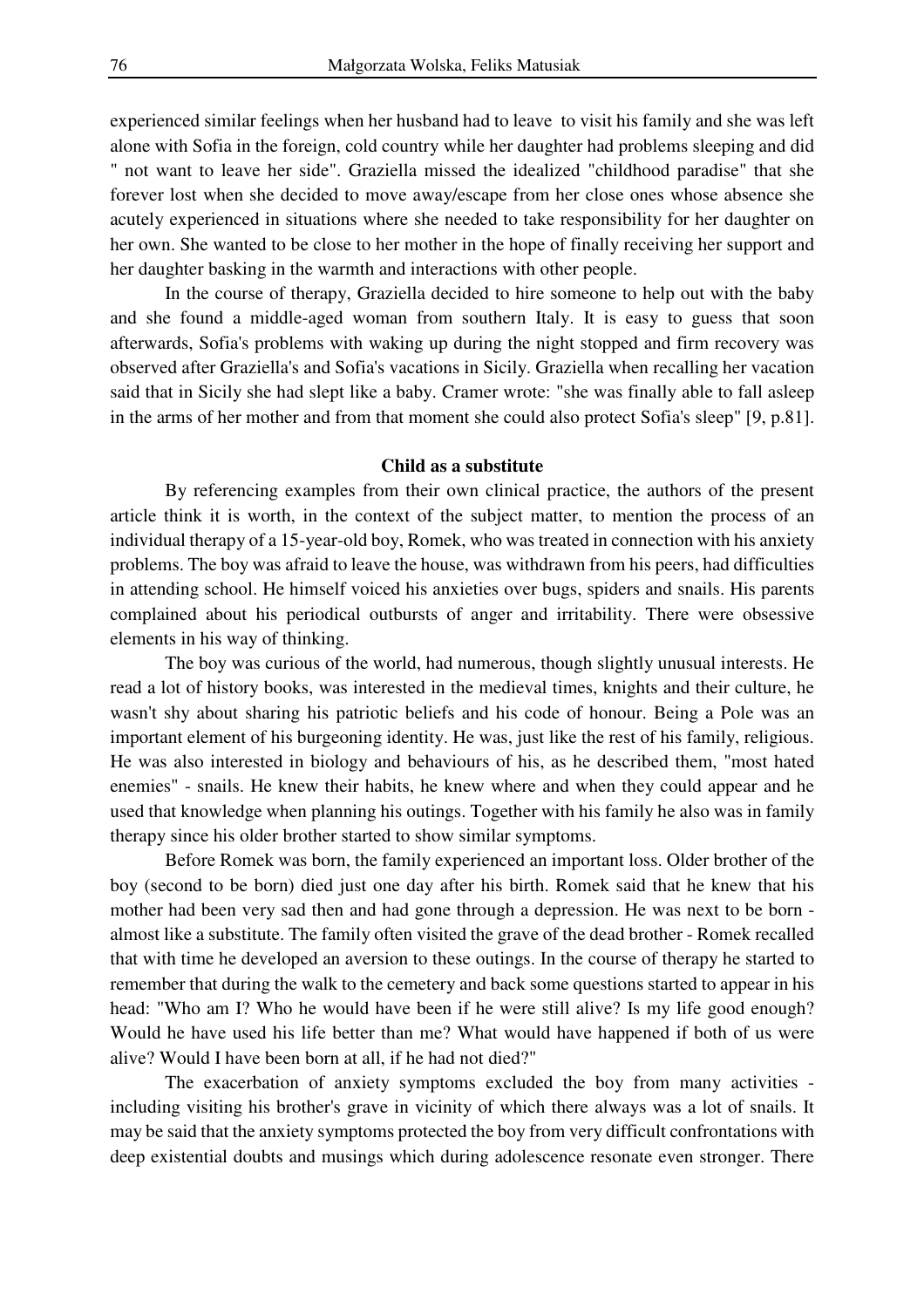experienced similar feelings when her husband had to leave to visit his family and she was left alone with Sofia in the foreign, cold country while her daughter had problems sleeping and did " not want to leave her side". Graziella missed the idealized "childhood paradise" that she forever lost when she decided to move away/escape from her close ones whose absence she acutely experienced in situations where she needed to take responsibility for her daughter on her own. She wanted to be close to her mother in the hope of finally receiving her support and her daughter basking in the warmth and interactions with other people.

In the course of therapy, Graziella decided to hire someone to help out with the baby and she found a middle-aged woman from southern Italy. It is easy to guess that soon afterwards, Sofia's problems with waking up during the night stopped and firm recovery was observed after Graziella's and Sofia's vacations in Sicily. Graziella when recalling her vacation said that in Sicily she had slept like a baby. Cramer wrote: "she was finally able to fall asleep in the arms of her mother and from that moment she could also protect Sofia's sleep" [9, p.81].

#### **Child as a substitute**

By referencing examples from their own clinical practice, the authors of the present article think it is worth, in the context of the subject matter, to mention the process of an individual therapy of a 15-year-old boy, Romek, who was treated in connection with his anxiety problems. The boy was afraid to leave the house, was withdrawn from his peers, had difficulties in attending school. He himself voiced his anxieties over bugs, spiders and snails. His parents complained about his periodical outbursts of anger and irritability. There were obsessive elements in his way of thinking.

The boy was curious of the world, had numerous, though slightly unusual interests. He read a lot of history books, was interested in the medieval times, knights and their culture, he wasn't shy about sharing his patriotic beliefs and his code of honour. Being a Pole was an important element of his burgeoning identity. He was, just like the rest of his family, religious. He was also interested in biology and behaviours of his, as he described them, "most hated enemies" - snails. He knew their habits, he knew where and when they could appear and he used that knowledge when planning his outings. Together with his family he also was in family therapy since his older brother started to show similar symptoms.

Before Romek was born, the family experienced an important loss. Older brother of the boy (second to be born) died just one day after his birth. Romek said that he knew that his mother had been very sad then and had gone through a depression. He was next to be born almost like a substitute. The family often visited the grave of the dead brother - Romek recalled that with time he developed an aversion to these outings. In the course of therapy he started to remember that during the walk to the cemetery and back some questions started to appear in his head: "Who am I? Who he would have been if he were still alive? Is my life good enough? Would he have used his life better than me? What would have happened if both of us were alive? Would I have been born at all, if he had not died?"

The exacerbation of anxiety symptoms excluded the boy from many activities including visiting his brother's grave in vicinity of which there always was a lot of snails. It may be said that the anxiety symptoms protected the boy from very difficult confrontations with deep existential doubts and musings which during adolescence resonate even stronger. There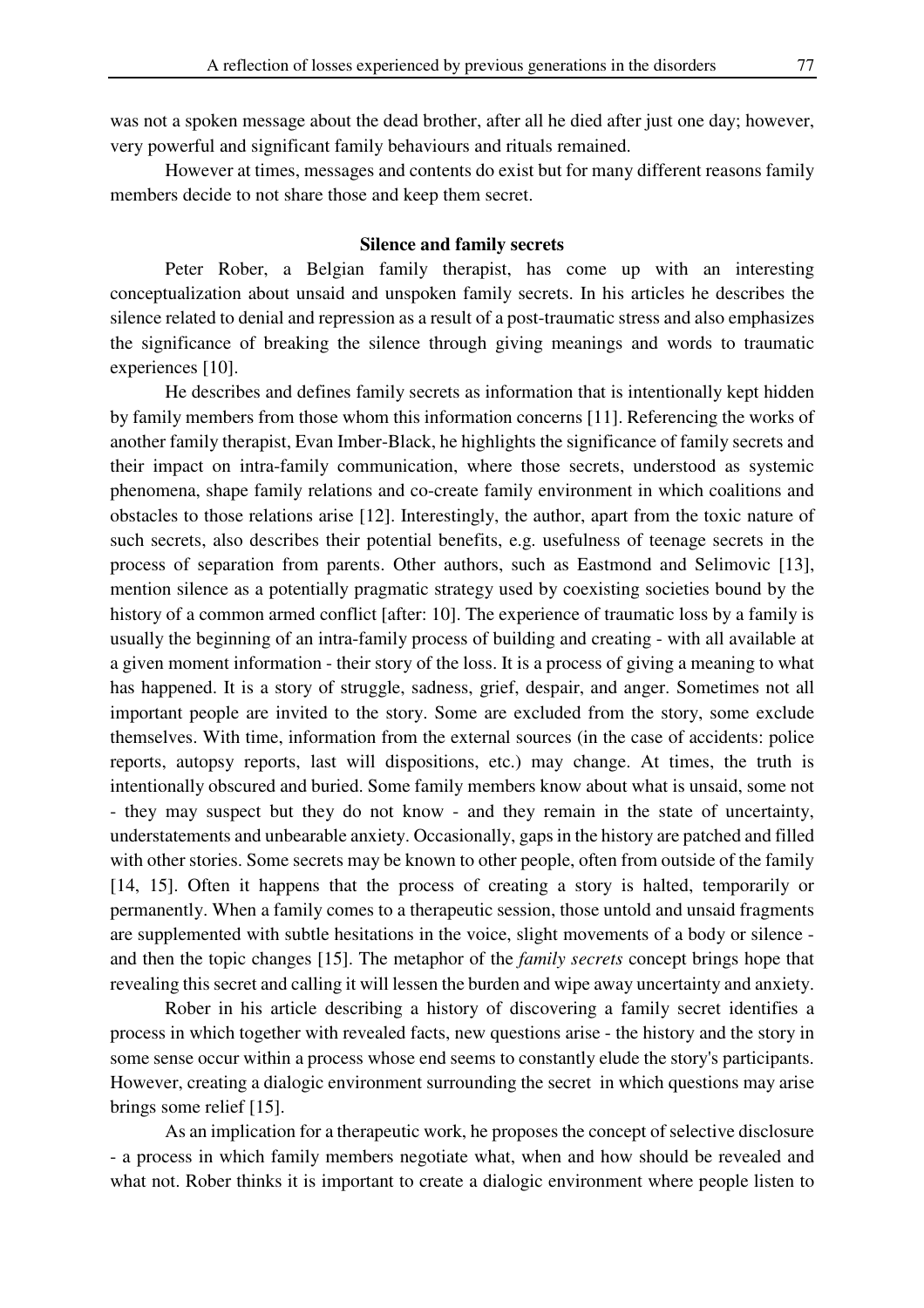was not a spoken message about the dead brother, after all he died after just one day; however, very powerful and significant family behaviours and rituals remained.

However at times, messages and contents do exist but for many different reasons family members decide to not share those and keep them secret.

#### **Silence and family secrets**

Peter Rober, a Belgian family therapist, has come up with an interesting conceptualization about unsaid and unspoken family secrets. In his articles he describes the silence related to denial and repression as a result of a post-traumatic stress and also emphasizes the significance of breaking the silence through giving meanings and words to traumatic experiences [10].

He describes and defines family secrets as information that is intentionally kept hidden by family members from those whom this information concerns [11]. Referencing the works of another family therapist, Evan Imber-Black, he highlights the significance of family secrets and their impact on intra-family communication, where those secrets, understood as systemic phenomena, shape family relations and co-create family environment in which coalitions and obstacles to those relations arise [12]. Interestingly, the author, apart from the toxic nature of such secrets, also describes their potential benefits, e.g. usefulness of teenage secrets in the process of separation from parents. Other authors, such as Eastmond and Selimovic [13], mention silence as a potentially pragmatic strategy used by coexisting societies bound by the history of a common armed conflict [after: 10]. The experience of traumatic loss by a family is usually the beginning of an intra-family process of building and creating - with all available at a given moment information - their story of the loss. It is a process of giving a meaning to what has happened. It is a story of struggle, sadness, grief, despair, and anger. Sometimes not all important people are invited to the story. Some are excluded from the story, some exclude themselves. With time, information from the external sources (in the case of accidents: police reports, autopsy reports, last will dispositions, etc.) may change. At times, the truth is intentionally obscured and buried. Some family members know about what is unsaid, some not - they may suspect but they do not know - and they remain in the state of uncertainty, understatements and unbearable anxiety. Occasionally, gaps in the history are patched and filled with other stories. Some secrets may be known to other people, often from outside of the family [14, 15]. Often it happens that the process of creating a story is halted, temporarily or permanently. When a family comes to a therapeutic session, those untold and unsaid fragments are supplemented with subtle hesitations in the voice, slight movements of a body or silence and then the topic changes [15]. The metaphor of the *family secrets* concept brings hope that revealing this secret and calling it will lessen the burden and wipe away uncertainty and anxiety.

Rober in his article describing a history of discovering a family secret identifies a process in which together with revealed facts, new questions arise - the history and the story in some sense occur within a process whose end seems to constantly elude the story's participants. However, creating a dialogic environment surrounding the secret in which questions may arise brings some relief [15].

As an implication for a therapeutic work, he proposes the concept of selective disclosure - a process in which family members negotiate what, when and how should be revealed and what not. Rober thinks it is important to create a dialogic environment where people listen to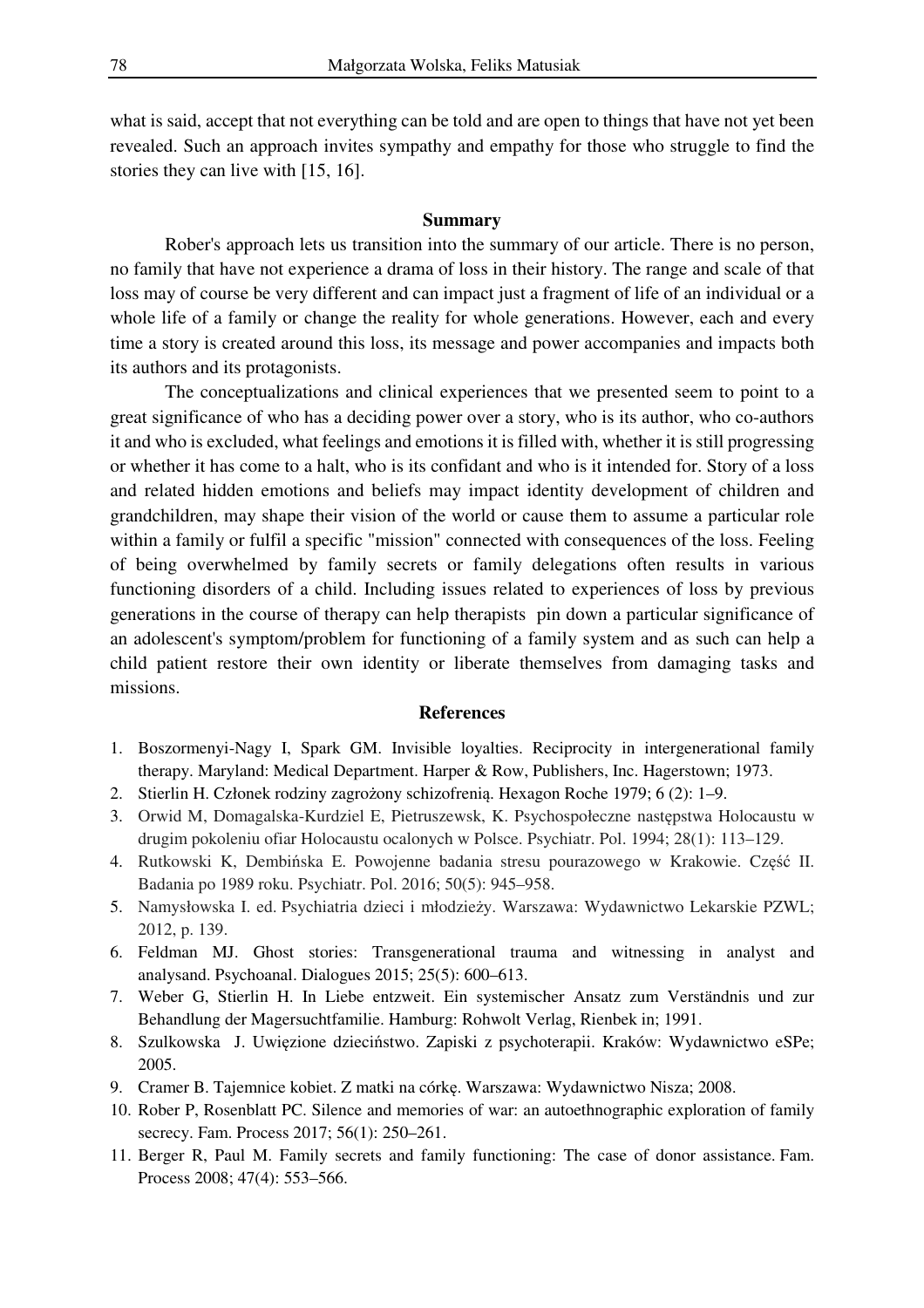what is said, accept that not everything can be told and are open to things that have not yet been revealed. Such an approach invites sympathy and empathy for those who struggle to find the stories they can live with [15, 16].

# **Summary**

Rober's approach lets us transition into the summary of our article. There is no person, no family that have not experience a drama of loss in their history. The range and scale of that loss may of course be very different and can impact just a fragment of life of an individual or a whole life of a family or change the reality for whole generations. However, each and every time a story is created around this loss, its message and power accompanies and impacts both its authors and its protagonists.

The conceptualizations and clinical experiences that we presented seem to point to a great significance of who has a deciding power over a story, who is its author, who co-authors it and who is excluded, what feelings and emotions it is filled with, whether it is still progressing or whether it has come to a halt, who is its confidant and who is it intended for. Story of a loss and related hidden emotions and beliefs may impact identity development of children and grandchildren, may shape their vision of the world or cause them to assume a particular role within a family or fulfil a specific "mission" connected with consequences of the loss. Feeling of being overwhelmed by family secrets or family delegations often results in various functioning disorders of a child. Including issues related to experiences of loss by previous generations in the course of therapy can help therapists pin down a particular significance of an adolescent's symptom/problem for functioning of a family system and as such can help a child patient restore their own identity or liberate themselves from damaging tasks and missions.

### **References**

- 1. Boszormenyi-Nagy I, Spark GM. Invisible loyalties. Reciprocity in intergenerational family therapy. Maryland: Medical Department. Harper & Row, Publishers, Inc. Hagerstown; 1973.
- 2. Stierlin H. Członek rodziny zagrożony schizofrenią. Hexagon Roche 1979; 6 (2): 1–9.
- 3. Orwid M, Domagalska-Kurdziel E, Pietruszewsk, K. Psychospołeczne następstwa Holocaustu w drugim pokoleniu ofiar Holocaustu ocalonych w Polsce. Psychiatr. Pol. 1994; 28(1): 113–129.
- 4. Rutkowski K, Dembińska E. Powojenne badania stresu pourazowego w Krakowie. Część II. Badania po 1989 roku. Psychiatr. Pol. 2016; 50(5): 945–958.
- 5. Namysłowska I. ed. Psychiatria dzieci i młodzieży. Warszawa: Wydawnictwo Lekarskie PZWL; 2012, p. 139.
- 6. Feldman MJ. Ghost stories: Transgenerational trauma and witnessing in analyst and analysand. Psychoanal. Dialogues 2015; 25(5): 600–613.
- 7. Weber G, Stierlin H. In Liebe entzweit. Ein systemischer Ansatz zum Verständnis und zur Behandlung der Magersuchtfamilie. Hamburg: Rohwolt Verlag, Rienbek in; 1991.
- 8. Szulkowska J. Uwięzione dzieciństwo. Zapiski z psychoterapii. Kraków: Wydawnictwo eSPe; 2005.
- 9. Cramer B. Tajemnice kobiet. Z matki na córkę. Warszawa: Wydawnictwo Nisza; 2008.
- 10. Rober P, Rosenblatt PC. Silence and memories of war: an autoethnographic exploration of family secrecy. Fam. Process 2017; 56(1): 250–261.
- 11. Berger R, Paul M. Family secrets and family functioning: The case of donor assistance. Fam. Process 2008; 47(4): 553–566.